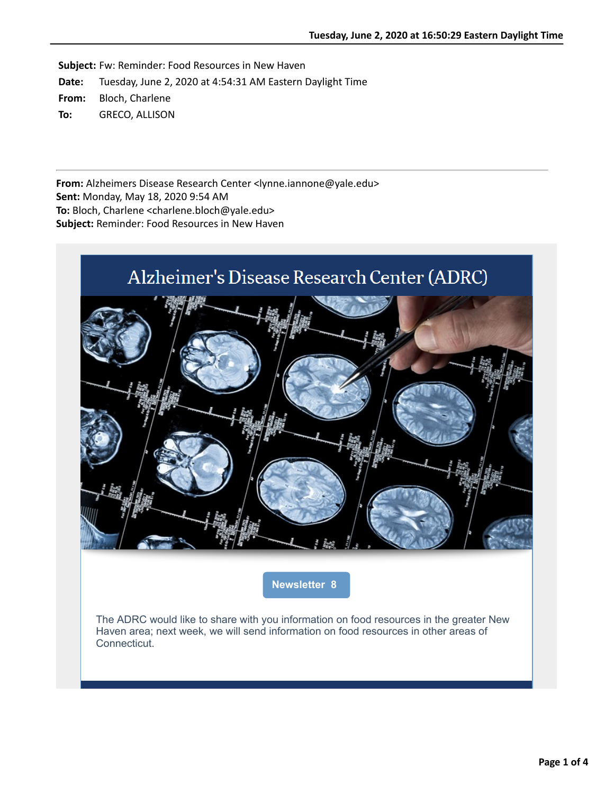# Alzheimer's Disease Research Center (ADRC)



**[Newsletter 8](https://nam05.safelinks.protection.outlook.com/?url=http%3A%2F%2Fr20.rs6.net%2Ftn.jsp%3Ff%3D001YofW2Yda-aFFyfcNlBOFwV_38mbf-zPMTbH0vZzcsCgyIRlWg9ijManzRZy0fhF0RnqfU3XFEaaSwrSEgCYqf6_f4wFVs6id7QtzjFB4dgxsg8SdqpeIsQjhoxotKc1ex7zDPFQOzL8jzT02RoDxKAHTSQ3esiPyT6zFhZNHlYM%3D%26c%3DxKDL0glZvhDHdS0Sq3YveGcN7Mh0SKW0cs1xjkH6Y7-NSQOE9pEbCw%3D%3D%26ch%3DA76ZT0FCLQQeJYQaklb6SPdsscDmUBq8D2ZHgQMtApN6J2UEhSDazA%3D%3D&data=02%7C01%7Callison.greco%40yale.edu%7Caa322dc8ebc04dc6442b08d806d290df%7Cdd8cbebb21394df8b4114e3e87abeb5c%7C0%7C0%7C637266848727576500&sdata=MnSOuBLTXNIAPXXR7%2FCLGUK8rdxFTDgIjE%2B%2FNLgp9f0%3D&reserved=0)**

The ADRC would like to share with you information on food resources in the greater New Haven area; next week, we will send information on food resources in other areas of **Connecticut.**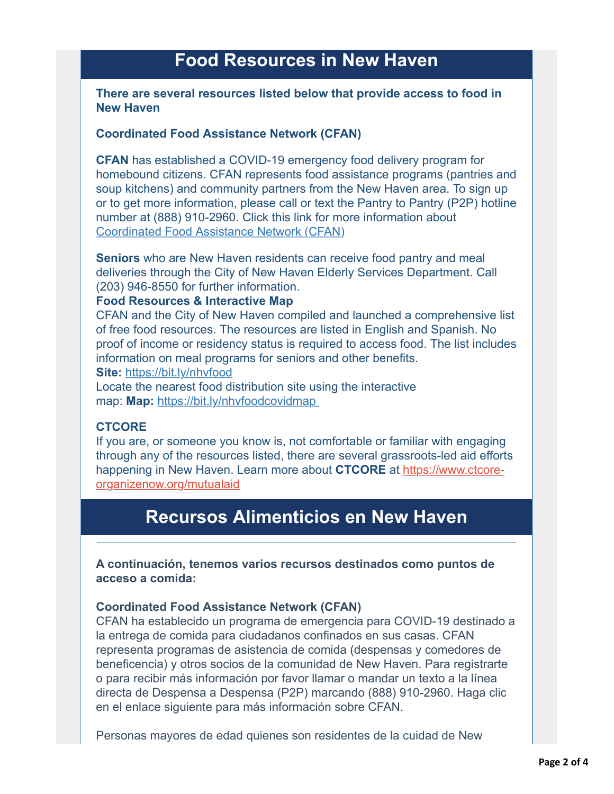#### **There are several resources listed below that provide access to food in New Haven**

## **Coordinated Food Assistance Network (CFAN)**

**CFAN** has established a COVID-19 emergency food delivery program for homebound citizens. CFAN represents food assistance programs (pantries and soup kitchens) and community partners from the New Haven area. To sign up or to get more information, please call or text the Pantry to Pantry (P2P) hotline number at (888) 910-2960. Click this link for more information about [Coordinated Food Assistance Network \(CFAN\)](https://nam05.safelinks.protection.outlook.com/?url=http%3A%2F%2Fr20.rs6.net%2Ftn.jsp%3Ff%3D001YofW2Yda-aFFyfcNlBOFwV_38mbf-zPMTbH0vZzcsCgyIRlWg9ijMYEo0v1QTFIwxcijykaCdS7tbv1aEdnJZcQDvYxyaozji_bDtU_jQWD5rx1EIOfjFgs4zv-wdwykF5rGD61RkOwZYDl3zjK6aA%3D%3D%26c%3DxKDL0glZvhDHdS0Sq3YveGcN7Mh0SKW0cs1xjkH6Y7-NSQOE9pEbCw%3D%3D%26ch%3DA76ZT0FCLQQeJYQaklb6SPdsscDmUBq8D2ZHgQMtApN6J2UEhSDazA%3D%3D&data=02%7C01%7Callison.greco%40yale.edu%7Caa322dc8ebc04dc6442b08d806d290df%7Cdd8cbebb21394df8b4114e3e87abeb5c%7C0%7C0%7C637266848727586491&sdata=lZO031hSHnmFdGT34Lzgh3jlerNdKQush2ivUdp4920%3D&reserved=0)

**Seniors** who are New Haven residents can receive food pantry and meal deliveries through the City of New Haven Elderly Services Department. Call (203) 946-8550 for further information.

#### **Food Resources & Interactive Map**

CFAN and the City of New Haven compiled and launched a comprehensive list of free food resources. The resources are listed in English and Spanish. No proof of income or residency status is required to access food. The list includes information on meal programs for seniors and other benefits. **Site:** [https://bit.ly/nhvfood](https://nam05.safelinks.protection.outlook.com/?url=http%3A%2F%2Fr20.rs6.net%2Ftn.jsp%3Ff%3D001YofW2Yda-aFFyfcNlBOFwV_38mbf-zPMTbH0vZzcsCgyIRlWg9ijMYEo0v1QTFIwboS8qC_6m_zd9q9lmc0mny268otrIiR7c2m9Clr-jZrdgfoyr8hkpwr4EbaG4q4sgzyr_lD9KZU%3D%26c%3DxKDL0glZvhDHdS0Sq3YveGcN7Mh0SKW0cs1xjkH6Y7-NSQOE9pEbCw%3D%3D%26ch%3DA76ZT0FCLQQeJYQaklb6SPdsscDmUBq8D2ZHgQMtApN6J2UEhSDazA%3D%3D&data=02%7C01%7Callison.greco%40yale.edu%7Caa322dc8ebc04dc6442b08d806d290df%7Cdd8cbebb21394df8b4114e3e87abeb5c%7C0%7C0%7C637266848727586491&sdata=bpx06Zmaerc%2BjlZjVrS6zfGIGOSQF618BwowDoDCaAE%3D&reserved=0)

Locate the nearest food distribution site using the interactive map: **Map:** [https://bit.ly/nhvfoodcovidmap](https://nam05.safelinks.protection.outlook.com/?url=http%3A%2F%2Fr20.rs6.net%2Ftn.jsp%3Ff%3D001YofW2Yda-aFFyfcNlBOFwV_38mbf-zPMTbH0vZzcsCgyIRlWg9ijMYEo0v1QTFIwPuhC9JGM2KCSz5-lewMTlAYK-NW1JH4jLWMqx8BfUdtgevjhEvg7G7K6-LaMRl9G7TX_GIT08Tdzd5CRoQ4eAOVGO8QIGqPI781V4GaUMSWOUxDseBKcI3bBVYcNqbtdLEm_8aRpHkXNd_7byxDlB2MBoQ9cB3iW3piN8fnQ3z62namVfWWGn1d9AHa0j8yujpyf2_QozaNFcFsyM7CcYftMZFt9s6Ry5nnCCu6WbT2QwOai9fLhrEHPeomzff3jsP-jMOvstNwCuWW9pCZ0KATWQ9Yh7uunzUZG59rxcVdwio61KGqDrosLKHuTXVxxW9UUD7AHnbm7__nd8OknF49W5Jz8idh3-oJNQ8JOmGfX7aqn4tvc9lhize77UxY85IbYp8C7IQcLIyrYGiL9GxFVWbhRV0qRXl2gBAuL8tx19YQ0K809h1geE9ElIeJ85TzbluAchFdzvrAC07hFOlBsS87BehC59xSwqk0pewF-f46UcganSw%3D%3D%26c%3DxKDL0glZvhDHdS0Sq3YveGcN7Mh0SKW0cs1xjkH6Y7-NSQOE9pEbCw%3D%3D%26ch%3DA76ZT0FCLQQeJYQaklb6SPdsscDmUBq8D2ZHgQMtApN6J2UEhSDazA%3D%3D&data=02%7C01%7Callison.greco%40yale.edu%7Caa322dc8ebc04dc6442b08d806d290df%7Cdd8cbebb21394df8b4114e3e87abeb5c%7C0%7C0%7C637266848727596492&sdata=nyZyVx3rsKoR1deb4ANmYLEM9YNQBnUZmrigOyAKMKM%3D&reserved=0)

## **CTCORE**

If you are, or someone you know is, not comfortable or familiar with engaging through any of the resources listed, there are several grassroots-led aid efforts [happening in New Haven. Learn more about](https://nam05.safelinks.protection.outlook.com/?url=http%3A%2F%2Fr20.rs6.net%2Ftn.jsp%3Ff%3D001YofW2Yda-aFFyfcNlBOFwV_38mbf-zPMTbH0vZzcsCgyIRlWg9ijMYEo0v1QTFIwrjq17E9LAC8S2WoUY5Nm5hUH3X72WBfn1E_0dXj07DuvYm7h7cHr9gdS_Tzd4e1_vTKTmMZUa4YMccybkwzE38l4vLuImq7VV7Yux_xufTs%3D%26c%3DxKDL0glZvhDHdS0Sq3YveGcN7Mh0SKW0cs1xjkH6Y7-NSQOE9pEbCw%3D%3D%26ch%3DA76ZT0FCLQQeJYQaklb6SPdsscDmUBq8D2ZHgQMtApN6J2UEhSDazA%3D%3D&data=02%7C01%7Callison.greco%40yale.edu%7Caa322dc8ebc04dc6442b08d806d290df%7Cdd8cbebb21394df8b4114e3e87abeb5c%7C0%7C0%7C637266848727596492&sdata=pfr8meKHJWbYag4ruifNJu5jpE9jBrIaeHhO65ydxys%3D&reserved=0) **CTCORE** at https://www.ctcoreorganizenow.org/mutualaid

# **Recursos Alimenticios en New Haven**

### **A continuación, tenemos varios recursos destinados como puntos de acceso a comida:**

### **Coordinated Food Assistance Network (CFAN)**

CFAN ha establecido un programa de emergencia para COVID-19 destinado a la entrega de comida para ciudadanos confinados en sus casas. CFAN representa programas de asistencia de comida (despensas y comedores de beneficencia) y otros socios de la comunidad de New Haven. Para registrarte o para recibir más información por favor llamar o mandar un texto a la línea directa de Despensa a Despensa (P2P) marcando (888) 910-2960. Haga clic en el enlace siguiente para más información sobre CFAN.

Personas mayores de edad quienes son residentes de la cuidad de New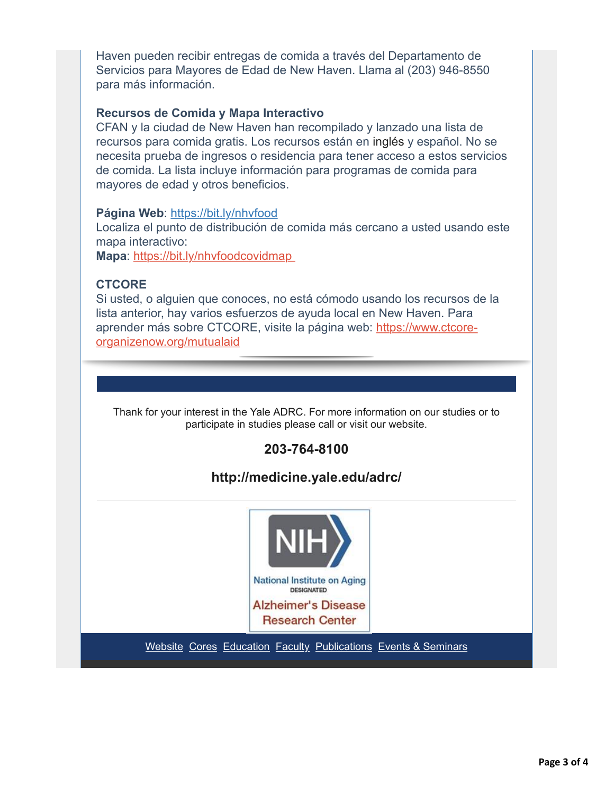Haven pueden recibir entregas de comida a través del Departamento de Servicios para Mayores de Edad de New Haven. Llama al (203) 946-8550 para más información.

#### **Recursos de Comida y Mapa Interactivo**

CFAN y la ciudad de New Haven han recompilado y lanzado una lista de recursos para comida gratis. Los recursos están en inglés y español. No se necesita prueba de ingresos o residencia para tener acceso a estos servicios de comida. La lista incluye información para programas de comida para mayores de edad y otros beneficios.

#### Página Web: [https://bit.ly/nhvfood](applewebdata://AECA59E9-685D-4EA6-953B-82B1AA250758#)

Localiza el punto de distribución de comida más cercano a usted usando este mapa interactivo:

**Mapa**: [https://bit.ly/nhvfoodcovidmap](applewebdata://AECA59E9-685D-4EA6-953B-82B1AA250758#) 

#### **CTCORE**

Si usted, o alguien que conoces, no está cómodo usando los recursos de la lista anterior, hay varios esfuerzos de ayuda local en New Haven. Para [aprender más sobre CTCORE, visite la página web: https://www.ctcore](applewebdata://AECA59E9-685D-4EA6-953B-82B1AA250758#)organizenow.org/mutualaid

Thank for your interest in the Yale ADRC. For more information on our studies or to participate in studies please call or visit our website.

## **203-764-8100**

# **http://medicine.yale.edu/adrc/**



[Website](https://nam05.safelinks.protection.outlook.com/?url=http%3A%2F%2Fr20.rs6.net%2Ftn.jsp%3Ff%3D001YofW2Yda-aFFyfcNlBOFwV_38mbf-zPMTbH0vZzcsCgyIRlWg9ijMUo3OUWd9d-2EGFA4QWlX5ek-fZ-lUfHUxbFgqTQ9extUiIjrWxkzE2wSaC5LDm4KOuK5VompwmGP9Jq_GXsCDdKaKI0MUG2-GohNFqn40mA%26c%3DxKDL0glZvhDHdS0Sq3YveGcN7Mh0SKW0cs1xjkH6Y7-NSQOE9pEbCw%3D%3D%26ch%3DA76ZT0FCLQQeJYQaklb6SPdsscDmUBq8D2ZHgQMtApN6J2UEhSDazA%3D%3D&data=02%7C01%7Callison.greco%40yale.edu%7Caa322dc8ebc04dc6442b08d806d290df%7Cdd8cbebb21394df8b4114e3e87abeb5c%7C0%7C0%7C637266848727606479&sdata=euFF3fet9a95RHCTwuP%2BLGg%2Bjfhz8BRfZ5S7yQ81qaQ%3D&reserved=0)[Cores](https://nam05.safelinks.protection.outlook.com/?url=http%3A%2F%2Fr20.rs6.net%2Ftn.jsp%3Ff%3D001YofW2Yda-aFFyfcNlBOFwV_38mbf-zPMTbH0vZzcsCgyIRlWg9ijMUo3OUWd9d-2gKioZrqzdn6R3JobyncJwMVRGsVHS9j6Fkax-gWOgFNyZYILeJYx1q4QH7ajWnJqYYgy-miQ4AQK5XjjvaM4DUptpkdg5Mk9OHb8fIKqsi0%3D%26c%3DxKDL0glZvhDHdS0Sq3YveGcN7Mh0SKW0cs1xjkH6Y7-NSQOE9pEbCw%3D%3D%26ch%3DA76ZT0FCLQQeJYQaklb6SPdsscDmUBq8D2ZHgQMtApN6J2UEhSDazA%3D%3D&data=02%7C01%7Callison.greco%40yale.edu%7Caa322dc8ebc04dc6442b08d806d290df%7Cdd8cbebb21394df8b4114e3e87abeb5c%7C0%7C0%7C637266848727606479&sdata=yKBM%2F0XKfPVn3J4oHsFcvs5h4DAjMp%2BaP7uLBUHkRoU%3D&reserved=0)[Education](https://nam05.safelinks.protection.outlook.com/?url=http%3A%2F%2Fr20.rs6.net%2Ftn.jsp%3Ff%3D001YofW2Yda-aFFyfcNlBOFwV_38mbf-zPMTbH0vZzcsCgyIRlWg9ijMUo3OUWd9d-2B48J4aDbfo9McwMqnbPF0RyM0CQZYTtcWpuySuNX3W8MJc_AynF9-bwN_heO3_2zR3MvBjRktjZ70XPJIqEnswYyW3n-qORxBP0M1T9jsDIns3kKyACt50eti-LpDLGM%26c%3DxKDL0glZvhDHdS0Sq3YveGcN7Mh0SKW0cs1xjkH6Y7-NSQOE9pEbCw%3D%3D%26ch%3DA76ZT0FCLQQeJYQaklb6SPdsscDmUBq8D2ZHgQMtApN6J2UEhSDazA%3D%3D&data=02%7C01%7Callison.greco%40yale.edu%7Caa322dc8ebc04dc6442b08d806d290df%7Cdd8cbebb21394df8b4114e3e87abeb5c%7C0%7C0%7C637266848727616478&sdata=l0DG5yk5Ycbe01rLmhHxipXwNdE1uvFSXTcT7LvO0UQ%3D&reserved=0)[Faculty](https://nam05.safelinks.protection.outlook.com/?url=http%3A%2F%2Fr20.rs6.net%2Ftn.jsp%3Ff%3D001YofW2Yda-aFFyfcNlBOFwV_38mbf-zPMTbH0vZzcsCgyIRlWg9ijMUo3OUWd9d-2tTYDgWiJNpXaDgh_dxRRor0MpNxqk08pkwZnwgDh_NUGh0qR9aO4RYU0M4cu6aMmtp1ucTLuc1FbqL5-QN1iA1IQomGzaRTWSgqB-1j1fII%3D%26c%3DxKDL0glZvhDHdS0Sq3YveGcN7Mh0SKW0cs1xjkH6Y7-NSQOE9pEbCw%3D%3D%26ch%3DA76ZT0FCLQQeJYQaklb6SPdsscDmUBq8D2ZHgQMtApN6J2UEhSDazA%3D%3D&data=02%7C01%7Callison.greco%40yale.edu%7Caa322dc8ebc04dc6442b08d806d290df%7Cdd8cbebb21394df8b4114e3e87abeb5c%7C0%7C0%7C637266848727626467&sdata=%2FqtQrR28PHUbn5aN3klRQrmhRTO09TYg7%2FCyUiDPAr4%3D&reserved=0)[Publications](https://nam05.safelinks.protection.outlook.com/?url=http%3A%2F%2Fr20.rs6.net%2Ftn.jsp%3Ff%3D001YofW2Yda-aFFyfcNlBOFwV_38mbf-zPMTbH0vZzcsCgyIRlWg9ijMUo3OUWd9d-2-dpw4wXpYycAVkLwAueqFqnWBWS91hP4Hk7CKRnm_nxBcMnXkxZCUq1rrACkTscU4xexG6InFjlCx_2Di19pl6oMUf_56zE2Oo47hdb0AJmjaUPKqL_kwg%3D%3D%26c%3DxKDL0glZvhDHdS0Sq3YveGcN7Mh0SKW0cs1xjkH6Y7-NSQOE9pEbCw%3D%3D%26ch%3DA76ZT0FCLQQeJYQaklb6SPdsscDmUBq8D2ZHgQMtApN6J2UEhSDazA%3D%3D&data=02%7C01%7Callison.greco%40yale.edu%7Caa322dc8ebc04dc6442b08d806d290df%7Cdd8cbebb21394df8b4114e3e87abeb5c%7C0%7C0%7C637266848727626467&sdata=kT30lARUxpt7TOO1bB1n6tb1tmhEtgtiqrjlErKhPcw%3D&reserved=0)[Events & Seminars](https://nam05.safelinks.protection.outlook.com/?url=http%3A%2F%2Fr20.rs6.net%2Ftn.jsp%3Ff%3D001YofW2Yda-aFFyfcNlBOFwV_38mbf-zPMTbH0vZzcsCgyIRlWg9ijMUo3OUWd9d-2xCrE_5jud91ygVss2zD4dQvvYXxF9_-kr4zOpVCryEy5RO7VyZlAWCtsosUAipvRFO6as1ID2Uq_qUMcuYQtAMLImqYPzOLxIckOKn9TjpQ%3D%26c%3DxKDL0glZvhDHdS0Sq3YveGcN7Mh0SKW0cs1xjkH6Y7-NSQOE9pEbCw%3D%3D%26ch%3DA76ZT0FCLQQeJYQaklb6SPdsscDmUBq8D2ZHgQMtApN6J2UEhSDazA%3D%3D&data=02%7C01%7Callison.greco%40yale.edu%7Caa322dc8ebc04dc6442b08d806d290df%7Cdd8cbebb21394df8b4114e3e87abeb5c%7C0%7C0%7C637266848727636467&sdata=EacZAALNcKsAxUOatUMlPCwQCesz1mbbUZ0AH%2Be50rI%3D&reserved=0)